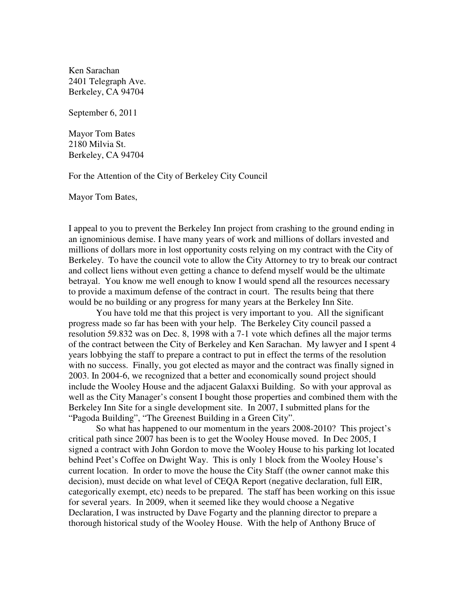Ken Sarachan 2401 Telegraph Ave. Berkeley, CA 94704

September 6, 2011

Mayor Tom Bates 2180 Milvia St. Berkeley, CA 94704

For the Attention of the City of Berkeley City Council

Mayor Tom Bates,

I appeal to you to prevent the Berkeley Inn project from crashing to the ground ending in an ignominious demise. I have many years of work and millions of dollars invested and millions of dollars more in lost opportunity costs relying on my contract with the City of Berkeley. To have the council vote to allow the City Attorney to try to break our contract and collect liens without even getting a chance to defend myself would be the ultimate betrayal. You know me well enough to know I would spend all the resources necessary to provide a maximum defense of the contract in court. The results being that there would be no building or any progress for many years at the Berkeley Inn Site.

You have told me that this project is very important to you. All the significant progress made so far has been with your help. The Berkeley City council passed a resolution 59.832 was on Dec. 8, 1998 with a 7-1 vote which defines all the major terms of the contract between the City of Berkeley and Ken Sarachan. My lawyer and I spent 4 years lobbying the staff to prepare a contract to put in effect the terms of the resolution with no success. Finally, you got elected as mayor and the contract was finally signed in 2003. In 2004-6, we recognized that a better and economically sound project should include the Wooley House and the adjacent Galaxxi Building. So with your approval as well as the City Manager's consent I bought those properties and combined them with the Berkeley Inn Site for a single development site. In 2007, I submitted plans for the "Pagoda Building", "The Greenest Building in a Green City".

So what has happened to our momentum in the years 2008-2010? This project's critical path since 2007 has been is to get the Wooley House moved. In Dec 2005, I signed a contract with John Gordon to move the Wooley House to his parking lot located behind Peet's Coffee on Dwight Way. This is only 1 block from the Wooley House's current location. In order to move the house the City Staff (the owner cannot make this decision), must decide on what level of CEQA Report (negative declaration, full EIR, categorically exempt, etc) needs to be prepared. The staff has been working on this issue for several years. In 2009, when it seemed like they would choose a Negative Declaration, I was instructed by Dave Fogarty and the planning director to prepare a thorough historical study of the Wooley House. With the help of Anthony Bruce of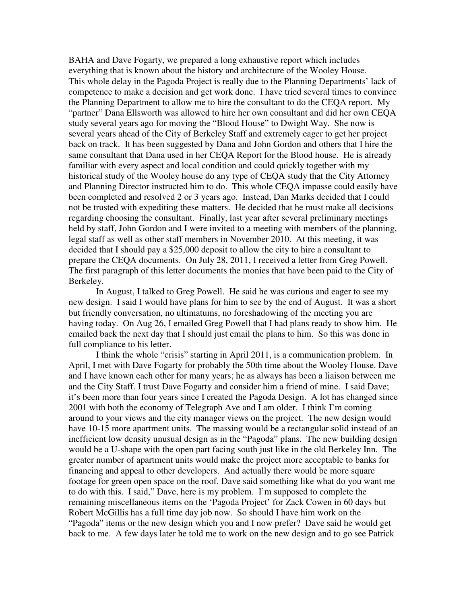BAHA and Dave Fogarty, we prepared a long exhaustive report which includes everything that is known about the history and architecture of the Wooley House. This whole delay in the Pagoda Project is really due to the Planning Departments' lack of competence to make a decision and get work done. I have tried several times to convince the Planning Department to allow me to hire the consultant to do the CEQA report. My "partner" Dana Ellsworth was allowed to hire her own consultant and did her own CEQA study several years ago for moving the "Blood House" to Dwight Way. She now is several years ahead of the City of Berkeley Staff and extremely eager to get her project back on track. It has been suggested by Dana and John Gordon and others that I hire the same consultant that Dana used in her CEQA Report for the Blood house. He is already familiar with every aspect and local condition and could quickly together with my historical study of the Wooley house do any type of CEQA study that the City Attorney and Planning Director instructed him to do. This whole CEQA impasse could easily have been completed and resolved 2 or 3 years ago. Instead, Dan Marks decided that I could not be trusted with expediting these matters. He decided that he must make all decisions regarding choosing the consultant. Finally, last year after several preliminary meetings held by staff, John Gordon and I were invited to a meeting with members of the planning, legal staff as well as other staff members in November 2010. At this meeting, it was decided that I should pay a \$25,000 deposit to allow the city to hire a consultant to prepare the CEQA documents. On July 28, 2011, I received a letter from Greg Powell. The first paragraph of this letter documents the monies that have been paid to the City of Berkeley.

In August, I talked to Greg Powell. He said he was curious and eager to see my new design. I said I would have plans for him to see by the end of August. It was a short but friendly conversation, no ultimatums, no foreshadowing of the meeting you are having today. On Aug 26, I emailed Greg Powell that I had plans ready to show him. He emailed back the next day that I should just email the plans to him. So this was done in full compliance to his letter.

I think the whole "crisis" starting in April 2011, is a communication problem. In April, I met with Dave Fogarty for probably the 50th time about the Wooley House. Dave and I have known each other for many years; he as always has been a liaison between me and the City Staff. I trust Dave Fogarty and consider him a friend of mine. I said Dave; it's been more than four years since I created the Pagoda Design. A lot has changed since 2001 with both the economy of Telegraph Ave and I am older. I think I'm coming around to your views and the city manager views on the project. The new design would have 10-15 more apartment units. The massing would be a rectangular solid instead of an inefficient low density unusual design as in the "Pagoda" plans. The new building design would be a U-shape with the open part facing south just like in the old Berkeley Inn. The greater number of apartment units would make the project more acceptable to banks for financing and appeal to other developers. And actually there would be more square footage for green open space on the roof. Dave said something like what do you want me to do with this. I said," Dave, here is my problem. I'm supposed to complete the remaining miscellaneous items on the 'Pagoda Project' for Zack Cowen in 60 days but Robert McGillis has a full time day job now. So should I have him work on the "Pagoda" items or the new design which you and I now prefer? Dave said he would get back to me. A few days later he told me to work on the new design and to go see Patrick